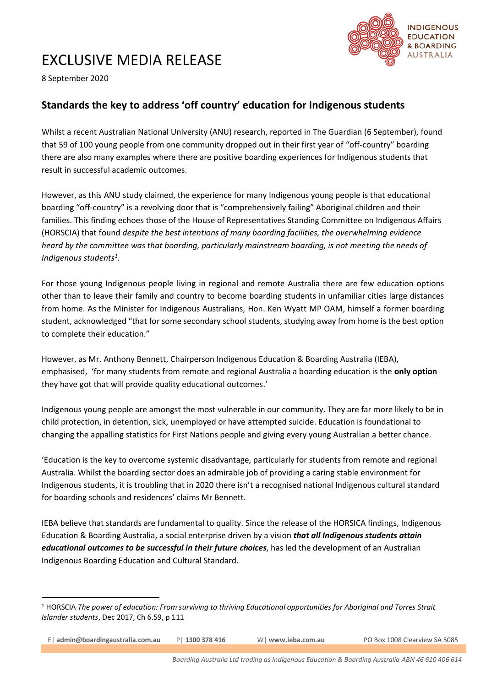## EXCLUSIVE MEDIA RELEASE



8 September 2020

## **Standards the key to address 'off country' education for Indigenous students**

Whilst a recent Australian National University (ANU) research, reported in The Guardian (6 September), found that 59 of 100 young people from one community dropped out in their first year of "off-country" boarding there are also many examples where there are positive boarding experiences for Indigenous students that result in successful academic outcomes.

However, as this ANU study claimed, the experience for many Indigenous young people is that educational boarding "off-country" is a revolving door that is "comprehensively failing" Aboriginal children and their families. This finding echoes those of the House of Representatives Standing Committee on Indigenous Affairs (HORSCIA) that found *despite the best intentions of many boarding facilities, the overwhelming evidence heard by the committee was that boarding, particularly mainstream boarding, is not meeting the needs of Indigenous students<sup>1</sup> .*

For those young Indigenous people living in regional and remote Australia there are few education options other than to leave their family and country to become boarding students in unfamiliar cities large distances from home. As the Minister for Indigenous Australians, Hon. Ken Wyatt MP OAM, himself a former boarding student, acknowledged "that for some secondary school students, studying away from home is the best option to complete their education."

However, as Mr. Anthony Bennett, Chairperson Indigenous Education & Boarding Australia (IEBA), emphasised, 'for many students from remote and regional Australia a boarding education is the **only option** they have got that will provide quality educational outcomes.'

Indigenous young people are amongst the most vulnerable in our community. They are far more likely to be in child protection, in detention, sick, unemployed or have attempted suicide. Education is foundational to changing the appalling statistics for First Nations people and giving every young Australian a better chance.

'Education is the key to overcome systemic disadvantage, particularly for students from remote and regional Australia. Whilst the boarding sector does an admirable job of providing a caring stable environment for Indigenous students, it is troubling that in 2020 there isn't a recognised national Indigenous cultural standard for boarding schools and residences' claims Mr Bennett.

IEBA believe that standards are fundamental to quality. Since the release of the HORSICA findings, Indigenous Education & Boarding Australia, a social enterprise driven by a vision *that all Indigenous students attain educational outcomes to be successful in their future choices*, has led the development of an Australian Indigenous Boarding Education and Cultural Standard.

E| **admin@boardingaustralia.com.au** P| **1300 378 416** W| **www.ieba.com.au** PO Box 1008 Clearview SA 5085

<sup>1</sup> HORSCIA *The power of education: From surviving to thriving Educational opportunities for Aboriginal and Torres Strait Islander students*, Dec 2017, Ch 6.59, p 111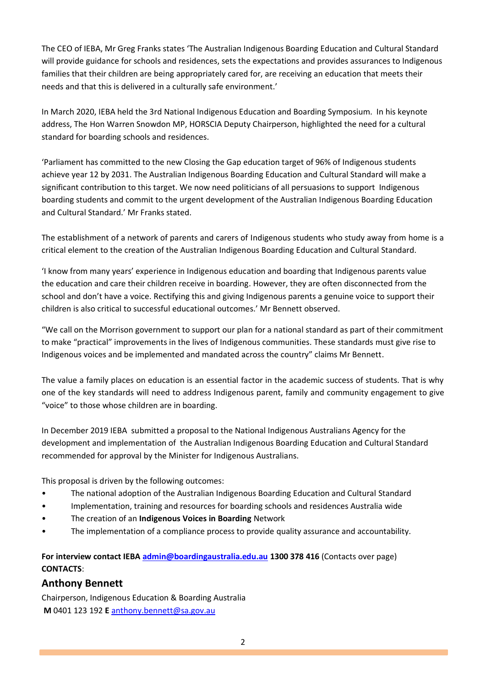The CEO of IEBA, Mr Greg Franks states 'The Australian Indigenous Boarding Education and Cultural Standard will provide guidance for schools and residences, sets the expectations and provides assurances to Indigenous families that their children are being appropriately cared for, are receiving an education that meets their needs and that this is delivered in a culturally safe environment.'

In March 2020, IEBA held the 3rd National Indigenous Education and Boarding Symposium. In his keynote address, The Hon Warren Snowdon MP, HORSCIA Deputy Chairperson, highlighted the need for a cultural standard for boarding schools and residences.

'Parliament has committed to the new Closing the Gap education target of 96% of Indigenous students achieve year 12 by 2031. The Australian Indigenous Boarding Education and Cultural Standard will make a significant contribution to this target. We now need politicians of all persuasions to support Indigenous boarding students and commit to the urgent development of the Australian Indigenous Boarding Education and Cultural Standard.' Mr Franks stated.

The establishment of a network of parents and carers of Indigenous students who study away from home is a critical element to the creation of the Australian Indigenous Boarding Education and Cultural Standard.

'I know from many years' experience in Indigenous education and boarding that Indigenous parents value the education and care their children receive in boarding. However, they are often disconnected from the school and don't have a voice. Rectifying this and giving Indigenous parents a genuine voice to support their children is also critical to successful educational outcomes.' Mr Bennett observed.

"We call on the Morrison government to support our plan for a national standard as part of their commitment to make "practical" improvements in the lives of Indigenous communities. These standards must give rise to Indigenous voices and be implemented and mandated across the country" claims Mr Bennett.

The value a family places on education is an essential factor in the academic success of students. That is why one of the key standards will need to address Indigenous parent, family and community engagement to give "voice" to those whose children are in boarding.

In December 2019 IEBA submitted a proposal to the National Indigenous Australians Agency for the development and implementation of the Australian Indigenous Boarding Education and Cultural Standard recommended for approval by the Minister for Indigenous Australians.

This proposal is driven by the following outcomes:

- The national adoption of the Australian Indigenous Boarding Education and Cultural Standard
- Implementation, training and resources for boarding schools and residences Australia wide
- The creation of an **Indigenous Voices in Boarding** Network
- The implementation of a compliance process to provide quality assurance and accountability.

**For interview contact IEB[A admin@boardingaustralia.edu.au](mailto:admin@boardingaustralia.edu.au) 1300 378 416** (Contacts over page) **CONTACTS**:

## **Anthony Bennett**

Chairperson, Indigenous Education & Boarding Australia **M** 0401 123 192 **E** [anthony.bennett@sa.gov.au](mailto:anthony.bennett@sa.gov.au)